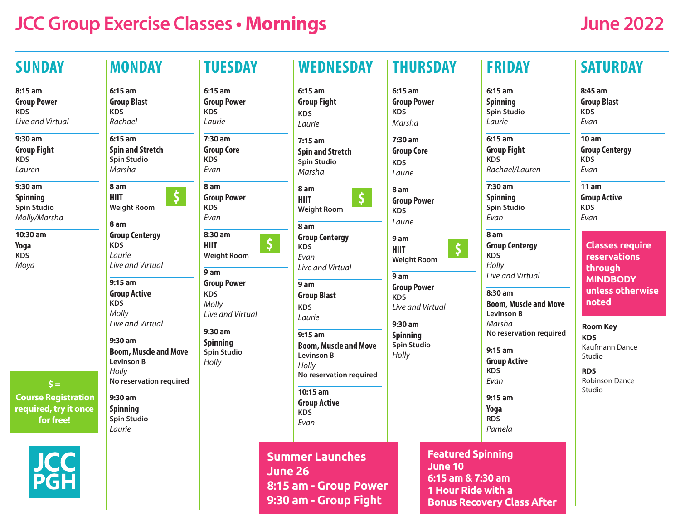# **JCC Group Exercise Classes • Mornings June 2022**

| <b>SUNDAY</b>                                                                                                                | <b>MONDAY</b>                                                                                                                                    | <b>TUESDAY</b>                                                                                                                                                                          | <b>WEDNESDAY</b>                                                                                                                                                                                                             | <b>THURSDAY</b>                                                                                                                                                             |  | <b>FRIDAY</b>                                                                                                                                      | <b>SATURDAY</b>                                                                                                                                                                                                 |
|------------------------------------------------------------------------------------------------------------------------------|--------------------------------------------------------------------------------------------------------------------------------------------------|-----------------------------------------------------------------------------------------------------------------------------------------------------------------------------------------|------------------------------------------------------------------------------------------------------------------------------------------------------------------------------------------------------------------------------|-----------------------------------------------------------------------------------------------------------------------------------------------------------------------------|--|----------------------------------------------------------------------------------------------------------------------------------------------------|-----------------------------------------------------------------------------------------------------------------------------------------------------------------------------------------------------------------|
| 8:15 am<br><b>Group Power</b><br><b>KDS</b><br>Live and Virtual                                                              | 6:15 am<br><b>Group Blast</b><br><b>KDS</b><br>Rachael                                                                                           | 6:15 am<br><b>Group Power</b><br><b>KDS</b><br>Laurie                                                                                                                                   | $6:15$ am<br><b>Group Fight</b><br><b>KDS</b><br>Laurie                                                                                                                                                                      | 6:15 am<br><b>Group Power</b><br><b>KDS</b><br>Marsha                                                                                                                       |  | 6:15 am<br><b>Spinning</b><br><b>Spin Studio</b><br>Laurie                                                                                         | 8:45 am<br><b>Group Blast</b><br><b>KDS</b><br>Evan                                                                                                                                                             |
| 9:30 am<br><b>Group Fight</b><br><b>KDS</b><br>Lauren                                                                        | $6:15$ am<br><b>Spin and Stretch</b><br><b>Spin Studio</b><br>Marsha                                                                             | 7:30 am<br><b>Group Core</b><br><b>KDS</b><br>Evan                                                                                                                                      | $7:15$ am<br><b>Spin and Stretch</b><br><b>Spin Studio</b><br>Marsha                                                                                                                                                         | 7:30 am<br><b>Group Core</b><br><b>KDS</b><br>Laurie                                                                                                                        |  | $6:15$ am<br><b>Group Fight</b><br><b>KDS</b><br>Rachael/Lauren                                                                                    | 10am<br><b>Group Centergy</b><br><b>KDS</b><br>Evan                                                                                                                                                             |
| 9:30 am<br><b>Spinning</b><br><b>Spin Studio</b><br>Molly/Marsha                                                             | 8 am<br>$\boldsymbol{\zeta}$<br><b>HIIT</b><br><b>Weight Room</b><br>8 am                                                                        | 8 am<br><b>Group Power</b><br><b>KDS</b><br>Evan                                                                                                                                        | 8 am<br>$\zeta$<br><b>HIIT</b><br><b>Weight Room</b>                                                                                                                                                                         | 8 am<br><b>Group Power</b><br><b>KDS</b><br>Laurie                                                                                                                          |  | 7:30 am<br><b>Spinning</b><br><b>Spin Studio</b><br>Evan                                                                                           | 11 am<br><b>Group Active</b><br><b>KDS</b><br>Evan                                                                                                                                                              |
| 10:30 am<br>Yoga<br><b>KDS</b><br>Moya<br>$\mathsf{S} =$<br><b>Course Registration</b><br>required, try it once<br>for free! | <b>Group Centergy</b><br><b>KDS</b><br>Laurie<br>Live and Virtual<br>$9:15$ am<br><b>Group Active</b><br><b>KDS</b><br>Molly<br>Live and Virtual | 8:30 am<br>Ş<br><b>HIIT</b><br><b>Weight Room</b><br>9 am<br><b>Group Power</b><br><b>KDS</b><br>Molly<br>Live and Virtual<br>9:30 am<br><b>Spinning</b><br><b>Spin Studio</b><br>Holly | 8 am<br><b>Group Centergy</b><br><b>KDS</b><br>Evan<br>Live and Virtual<br>9 am<br><b>Group Blast</b><br><b>KDS</b><br>Laurie<br>$9:15$ am<br><b>Boom, Muscle and Move</b><br>Levinson B<br>Holly<br>No reservation required | 9 am<br>5<br><b>HIIT</b><br><b>Weight Room</b><br>9 am<br><b>Group Power</b><br><b>KDS</b><br>Live and Virtual<br>9:30 am<br><b>Spinning</b><br><b>Spin Studio</b><br>Holly |  | 8 am<br><b>Group Centergy</b><br><b>KDS</b><br>Holly<br>Live and Virtual<br>8:30 am<br><b>Boom, Muscle and Move</b><br><b>Levinson B</b><br>Marsha | <b>Classes require</b><br>reservations<br>through<br><b>MINDBODY</b><br>unless otherwise<br>noted<br><b>Room Key</b><br><b>KDS</b><br>Kaufmann Dance<br>Studio<br><b>RDS</b><br><b>Robinson Dance</b><br>Studio |
|                                                                                                                              |                                                                                                                                                  |                                                                                                                                                                                         |                                                                                                                                                                                                                              |                                                                                                                                                                             |  |                                                                                                                                                    |                                                                                                                                                                                                                 |
|                                                                                                                              | 9:30 am<br><b>Spinning</b><br><b>Spin Studio</b><br>Laurie                                                                                       |                                                                                                                                                                                         |                                                                                                                                                                                                                              |                                                                                                                                                                             |  | 10:15 am<br><b>Group Active</b><br><b>KDS</b><br>Evan                                                                                              |                                                                                                                                                                                                                 |
|                                                                                                                              | <b>JCC</b><br>PGH                                                                                                                                |                                                                                                                                                                                         |                                                                                                                                                                                                                              |                                                                                                                                                                             |  |                                                                                                                                                    |                                                                                                                                                                                                                 |